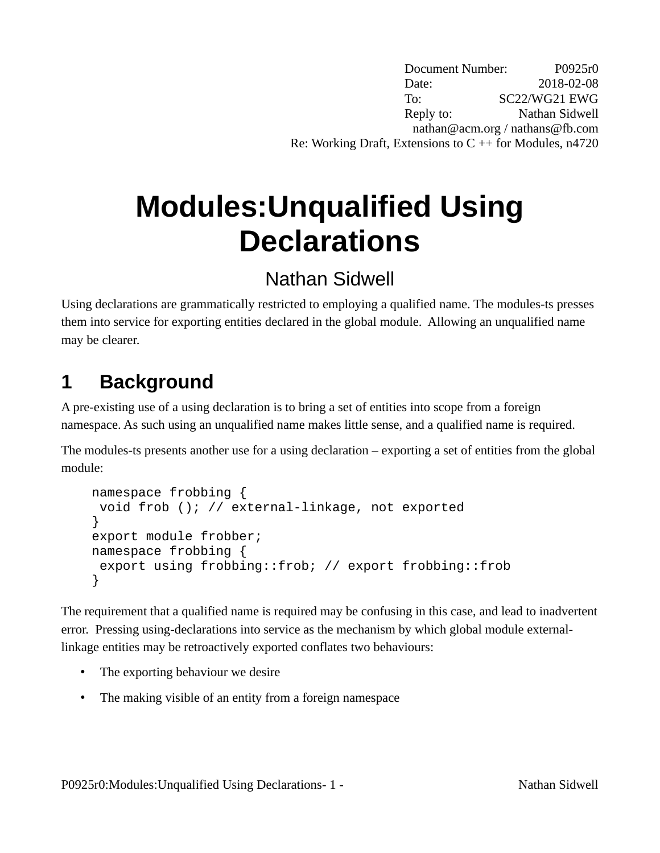Document Number: P0925r0 Date: 2018-02-08 To: SC22/WG21 EWG Reply to: Nathan Sidwell nathan@acm.org / nathans@fb.com Re: Working Draft, Extensions to  $C + f$  for Modules, n4720

# **Modules:Unqualified Using Declarations**

### Nathan Sidwell

Using declarations are grammatically restricted to employing a qualified name. The modules-ts presses them into service for exporting entities declared in the global module. Allowing an unqualified name may be clearer.

# **1 Background**

A pre-existing use of a using declaration is to bring a set of entities into scope from a foreign namespace. As such using an unqualified name makes little sense, and a qualified name is required.

The modules-ts presents another use for a using declaration – exporting a set of entities from the global module:

```
namespace frobbing {
 void frob (); // external-linkage, not exported
}
export module frobber;
namespace frobbing {
 export using frobbing::frob; // export frobbing::frob
}
```
The requirement that a qualified name is required may be confusing in this case, and lead to inadvertent error. Pressing using-declarations into service as the mechanism by which global module externallinkage entities may be retroactively exported conflates two behaviours:

- The exporting behaviour we desire
- The making visible of an entity from a foreign namespace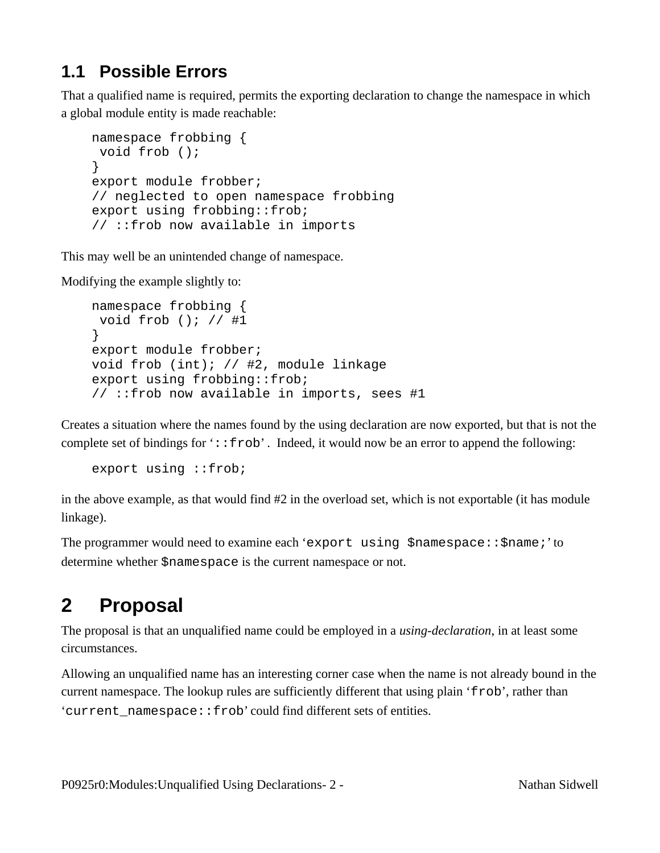#### **1.1 Possible Errors**

That a qualified name is required, permits the exporting declaration to change the namespace in which a global module entity is made reachable:

```
namespace frobbing {
 void frob ();
}
export module frobber;
// neglected to open namespace frobbing
export using frobbing::frob;
// ::frob now available in imports
```
This may well be an unintended change of namespace.

Modifying the example slightly to:

```
namespace frobbing {
 void frob (); // #1
}
export module frobber;
void frob (int); // #2, module linkage
export using frobbing::frob;
// ::frob now available in imports, sees #1
```
Creates a situation where the names found by the using declaration are now exported, but that is not the complete set of bindings for '::frob'. Indeed, it would now be an error to append the following:

export using ::frob;

in the above example, as that would find #2 in the overload set, which is not exportable (it has module linkage).

The programmer would need to examine each 'export using \$namespace::\$name;' to determine whether \$namespace is the current namespace or not.

# **2 Proposal**

The proposal is that an unqualified name could be employed in a *using-declaration*, in at least some circumstances.

Allowing an unqualified name has an interesting corner case when the name is not already bound in the current namespace. The lookup rules are sufficiently different that using plain 'frob', rather than 'current namespace:: frob' could find different sets of entities.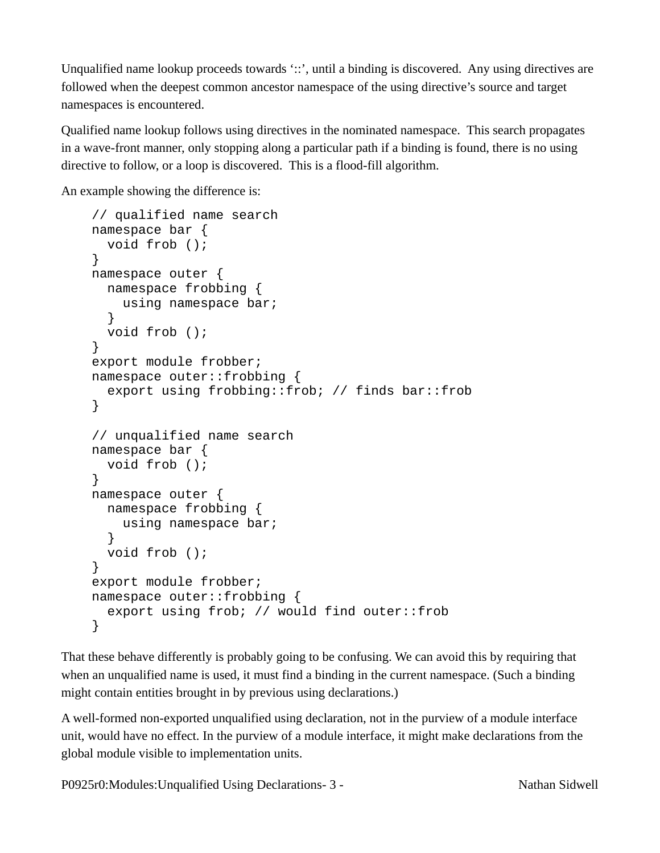Unqualified name lookup proceeds towards '::', until a binding is discovered. Any using directives are followed when the deepest common ancestor namespace of the using directive's source and target namespaces is encountered.

Qualified name lookup follows using directives in the nominated namespace. This search propagates in a wave-front manner, only stopping along a particular path if a binding is found, there is no using directive to follow, or a loop is discovered. This is a flood-fill algorithm.

An example showing the difference is:

```
// qualified name search
namespace bar {
   void frob ();
}
namespace outer {
   namespace frobbing {
     using namespace bar;
   }
   void frob ();
}
export module frobber;
namespace outer::frobbing {
   export using frobbing::frob; // finds bar::frob
}
// unqualified name search
namespace bar {
   void frob ();
}
namespace outer {
   namespace frobbing {
     using namespace bar;
   }
   void frob ();
}
export module frobber;
namespace outer::frobbing {
   export using frob; // would find outer::frob
}
```
That these behave differently is probably going to be confusing. We can avoid this by requiring that when an unqualified name is used, it must find a binding in the current namespace. (Such a binding might contain entities brought in by previous using declarations.)

A well-formed non-exported unqualified using declaration, not in the purview of a module interface unit, would have no effect. In the purview of a module interface, it might make declarations from the global module visible to implementation units.

P0925r0:Modules:Unqualified Using Declarations- 3 - Nathan Sidwell